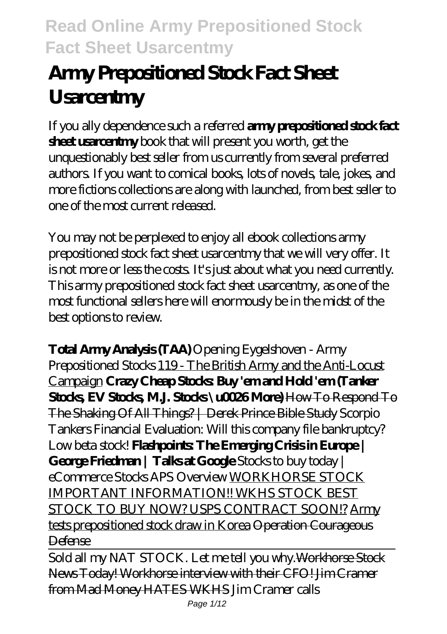# **Army Prepositioned Stock Fact Sheet Usarcentmy**

If you ally dependence such a referred **army prepositioned stock fact sheet usarcentmy** book that will present you worth, get the unquestionably best seller from us currently from several preferred authors. If you want to comical books, lots of novels, tale, jokes, and more fictions collections are along with launched, from best seller to one of the most current released.

You may not be perplexed to enjoy all ebook collections army prepositioned stock fact sheet usarcentmy that we will very offer. It is not more or less the costs. It's just about what you need currently. This army prepositioned stock fact sheet usarcentmy, as one of the most functional sellers here will enormously be in the midst of the best options to review.

**Total Army Analysis (TAA)** *Opening Eygelshoven - Army Prepositioned Stocks* 119 - The British Army and the Anti-Locust Campaign **Crazy Cheap Stocks Buy' emand Hold 'em (Tanker Stocks, EV Stocks, M.J. Stocks \u0026 More)** How To Respond To The Shaking Of All Things? | Derek Prince Bible Study *Scorpio Tankers Financial Evaluation: Will this company file bankruptcy? Low beta stock!* **Flashpoints: The Emerging Crisis in Europe | George Friedman | Talks at Google** *Stocks to buy today | eCommerce Stocks APS Overview* WORKHORSE STOCK IMPORTANT INFORMATION!! WKHS STOCK BEST STOCK TO BUY NOW? USPS CONTRACT SOON!? Army tests prepositioned stock draw in Korea Operation Courageous Defense

Sold all my NAT STOCK. Let me tell you why. Workhorse Stock News Today! Workhorse interview with their CFO! Jim Cramer from Mad Money HATES WKHS *Jim Cramer calls*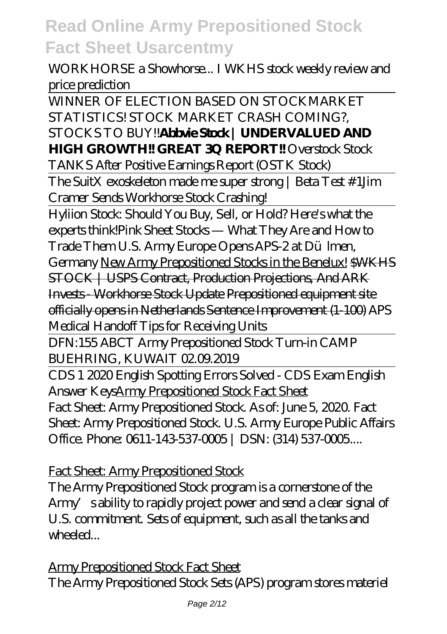#### *WORKHORSE a Showhorse... I WKHS stock weekly review and price prediction*

WINNER OF ELECTION BASED ON STOCKMARKET STATISTICS! STOCK MARKET CRASH COMING?, STOCKS TO BUY!!**Abbvie Stock | UNDERVALUED AND HIGH GROWTH!! GREAT 3Q REPORT!!** *Overstock Stock*

*TANKS After Positive Earnings Report (OSTK Stock)*

The SuitX exoskeleton made me super strong | Beta Test #1*Jim Cramer Sends Workhorse Stock Crashing!*

Hyliion Stock: Should You Buy, Sell, or Hold? Here's what the experts think!*Pink Sheet Stocks — What They Are and How to Trade Them U.S. Army Europe Opens APS-2 at Dülmen, Germany* New Army Prepositioned Stocks in the Benelux! \$WKHS STOCK | USPS Contract, Production Projections, And ARK Invests - Workhorse Stock Update Prepositioned equipment site officially opens in Netherlands Sentence Improvement (1-100) *APS Medical Handoff Tips for Receiving Units*

DFN:155 ABCT Army Prepositioned Stock Turn-in CAMP BUEHRING, KUWAIT 02.09.2019

CDS 1 2020 English Spotting Errors Solved - CDS Exam English Answer KeysArmy Prepositioned Stock Fact Sheet Fact Sheet: Army Prepositioned Stock. As of: June 5, 2020. Fact Sheet: Army Prepositioned Stock. U.S. Army Europe Public Affairs Office. Phone: 0611-143-537-0005 | DSN: (314) 537-0005...

Fact Sheet: Army Prepositioned Stock

The Army Prepositioned Stock program is a cornerstone of the Army sability to rapidly project power and send a clear signal of U.S. commitment. Sets of equipment, such as all the tanks and wheeled...

Army Prepositioned Stock Fact Sheet The Army Prepositioned Stock Sets (APS) program stores materiel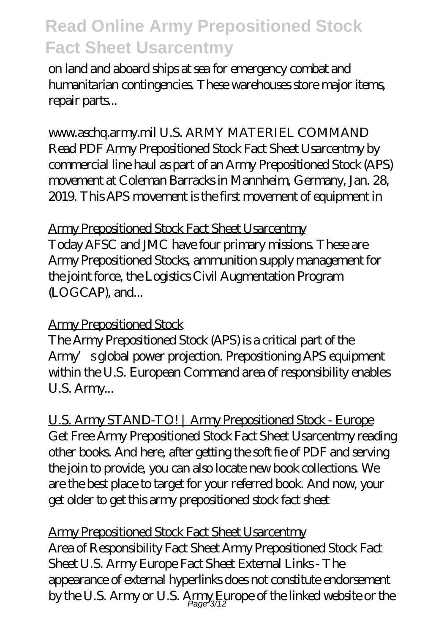on land and aboard ships at sea for emergency combat and humanitarian contingencies. These warehouses store major items, repair parts...

www.aschq.army.mil U.S. ARMY MATERIEL COMMAND Read PDF Army Prepositioned Stock Fact Sheet Usarcentmy by commercial line haul as part of an Army Prepositioned Stock (APS) movement at Coleman Barracks in Mannheim, Germany, Jan. 28, 2019. This APS movement is the first movement of equipment in

#### Army Prepositioned Stock Fact Sheet Usarcentmy

Today AFSC and JMC have four primary missions. These are Army Prepositioned Stocks, ammunition supply management for the joint force, the Logistics Civil Augmentation Program (LOGCAP), and...

#### Army Prepositioned Stock

The Army Prepositioned Stock (APS) is a critical part of the Army's global power projection. Prepositioning APS equipment within the U.S. European Command area of responsibility enables U.S. Army...

U.S. Army STAND-TO! | Army Prepositioned Stock - Europe Get Free Army Prepositioned Stock Fact Sheet Usarcentmy reading other books. And here, after getting the soft fie of PDF and serving the join to provide, you can also locate new book collections. We are the best place to target for your referred book. And now, your get older to get this army prepositioned stock fact sheet

Army Prepositioned Stock Fact Sheet Usarcentmy Area of Responsibility Fact Sheet Army Prepositioned Stock Fact Sheet U.S. Army Europe Fact Sheet External Links - The appearance of external hyperlinks does not constitute endorsement by the U.S. Army or U.S.  $\displaystyle \mathop{\mathrm{Amp}}_{\textit{Page 3/12}}$  irope of the linked website or the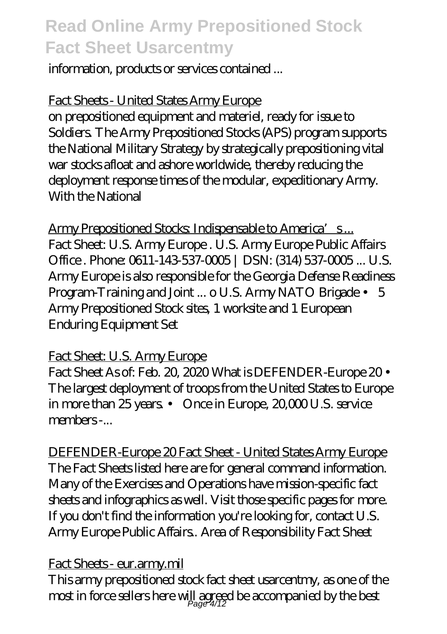information, products or services contained ...

#### Fact Sheets - United States Army Europe

on prepositioned equipment and materiel, ready for issue to Soldiers. The Army Prepositioned Stocks (APS) program supports the National Military Strategy by strategically prepositioning vital war stocks afloat and ashore worldwide, thereby reducing the deployment response times of the modular, expeditionary Army. With the National

Army Prepositioned Stocks Indispensable to America's... Fact Sheet: U.S. Army Europe . U.S. Army Europe Public Affairs Office. Phone: 0611-143-537-0005 | DSN: (314) 537-0005 ... U.S. Army Europe is also responsible for the Georgia Defense Readiness Program-Training and Joint ... o U.S. Army NATO Brigade • 5 Army Prepositioned Stock sites, 1 worksite and 1 European Enduring Equipment Set

#### Fact Sheet: U.S. Army Europe

Fact Sheet As of: Feb. 20, 2020 What is DEFENDER-Europe 20 • The largest deployment of troops from the United States to Europe in more than 25 years. • Once in Europe, 20,000 U.S. service members -...

DEFENDER-Europe 20 Fact Sheet - United States Army Europe The Fact Sheets listed here are for general command information. Many of the Exercises and Operations have mission-specific fact sheets and infographics as well. Visit those specific pages for more. If you don't find the information you're looking for, contact U.S. Army Europe Public Affairs.. Area of Responsibility Fact Sheet

#### Fact Sheets - eur.army.mil

This army prepositioned stock fact sheet usarcentmy, as one of the most in force sellers here will agreed be accompanied by the best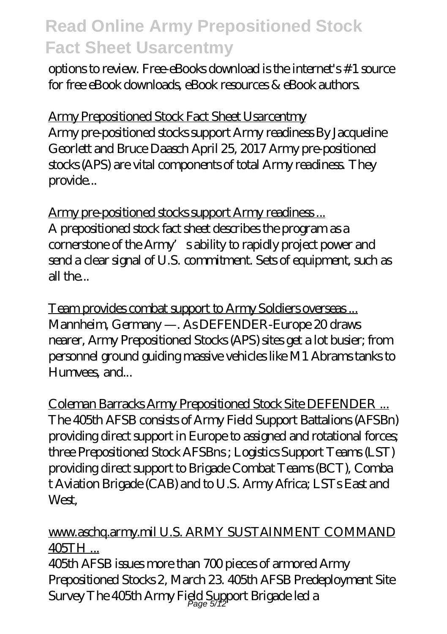options to review. Free-eBooks download is the internet's #1 source for free eBook downloads, eBook resources & eBook authors.

Army Prepositioned Stock Fact Sheet Usarcentmy Army pre-positioned stocks support Army readiness By Jacqueline Georlett and Bruce Daasch April 25, 2017 Army pre-positioned stocks (APS) are vital components of total Army readiness. They provide...

Army pre-positioned stocks support Army readiness ... A prepositioned stock fact sheet describes the program as a cornerstone of the Army's ability to rapidly project power and send a clear signal of U.S. commitment. Sets of equipment, such as all the...

Team provides combat support to Army Soldiers overseas ... Mannheim, Germany —. As DEFENDER-Europe 20 draws nearer, Army Prepositioned Stocks (APS) sites get a lot busier; from personnel ground guiding massive vehicles like M1 Abrams tanks to Humvees, and...

Coleman Barracks Army Prepositioned Stock Site DEFENDER ... The 405th AFSB consists of Army Field Support Battalions (AFSBn) providing direct support in Europe to assigned and rotational forces; three Prepositioned Stock AFSBns ; Logistics Support Teams (LST) providing direct support to Brigade Combat Teams (BCT), Comba t Aviation Brigade (CAB) and to U.S. Army Africa; LSTs East and West.

#### www.aschq.army.mil U.S. ARMY SUSTAINMENT COMMAND 405TH ...

405th AFSB issues more than 700 pieces of armored Army Prepositioned Stocks 2, March 23. 405th AFSB Predeployment Site Survey The 405th Army Field Support Brigade led a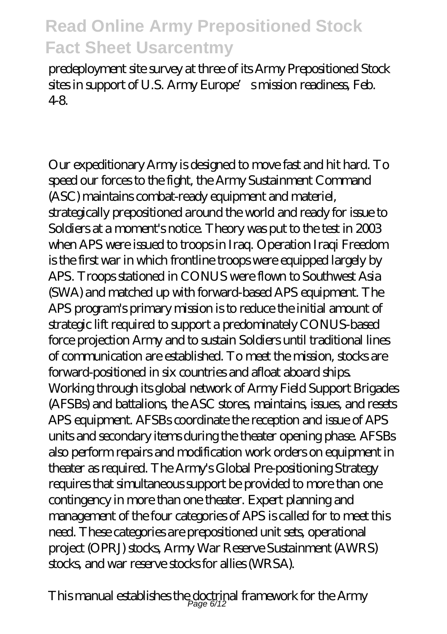predeployment site survey at three of its Army Prepositioned Stock sites in support of U.S. Army Europe's mission readiness, Feb. 4-8.

Our expeditionary Army is designed to move fast and hit hard. To speed our forces to the fight, the Army Sustainment Command (ASC) maintains combat-ready equipment and materiel, strategically prepositioned around the world and ready for issue to Soldiers at a moment's notice. Theory was put to the test in 2003 when APS were issued to troops in Iraq. Operation Iraqi Freedom is the first war in which frontline troops were equipped largely by APS. Troops stationed in CONUS were flown to Southwest Asia (SWA) and matched up with forward-based APS equipment. The APS program's primary mission is to reduce the initial amount of strategic lift required to support a predominately CONUS-based force projection Army and to sustain Soldiers until traditional lines of communication are established. To meet the mission, stocks are forward-positioned in six countries and afloat aboard ships. Working through its global network of Army Field Support Brigades (AFSBs) and battalions, the ASC stores, maintains, issues, and resets APS equipment. AFSBs coordinate the reception and issue of APS units and secondary items during the theater opening phase. AFSBs also perform repairs and modification work orders on equipment in theater as required. The Army's Global Pre-positioning Strategy requires that simultaneous support be provided to more than one contingency in more than one theater. Expert planning and management of the four categories of APS is called for to meet this need. These categories are prepositioned unit sets, operational project (OPRJ) stocks, Army War Reserve Sustainment (AWRS) stocks, and war reserve stocks for allies (WRSA).

This manual establishes the doctrinal framework for the Army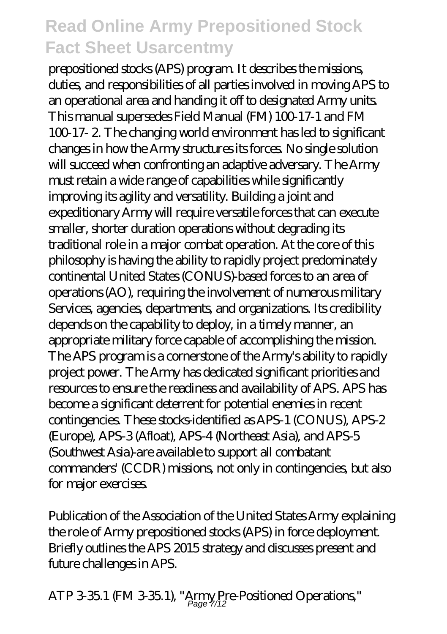prepositioned stocks (APS) program. It describes the missions, duties, and responsibilities of all parties involved in moving APS to an operational area and handing it off to designated Army units. This manual supersedes Field Manual (FM) 100-17-1 and FM 100-17- 2. The changing world environment has led to significant changes in how the Army structures its forces. No single solution will succeed when confronting an adaptive adversary. The Army must retain a wide range of capabilities while significantly improving its agility and versatility. Building a joint and expeditionary Army will require versatile forces that can execute smaller, shorter duration operations without degrading its traditional role in a major combat operation. At the core of this philosophy is having the ability to rapidly project predominately continental United States (CONUS)-based forces to an area of operations (AO), requiring the involvement of numerous military Services, agencies, departments, and organizations. Its credibility depends on the capability to deploy, in a timely manner, an appropriate military force capable of accomplishing the mission. The APS program is a cornerstone of the Army's ability to rapidly project power. The Army has dedicated significant priorities and resources to ensure the readiness and availability of APS. APS has become a significant deterrent for potential enemies in recent contingencies. These stocks-identified as APS-1 (CONUS), APS-2 (Europe), APS-3 (Afloat), APS-4 (Northeast Asia), and APS-5 (Southwest Asia)-are available to support all combatant commanders' (CCDR) missions, not only in contingencies, but also for major exercises.

Publication of the Association of the United States Army explaining the role of Army prepositioned stocks (APS) in force deployment. Briefly outlines the APS 2015 strategy and discusses present and future challenges in APS.

 $\mathrm{ATP}\,3\,\mathrm{35.1}$  (FM  $3\,\mathrm{35.1}$ ), "Army Pre-Positioned Operations,"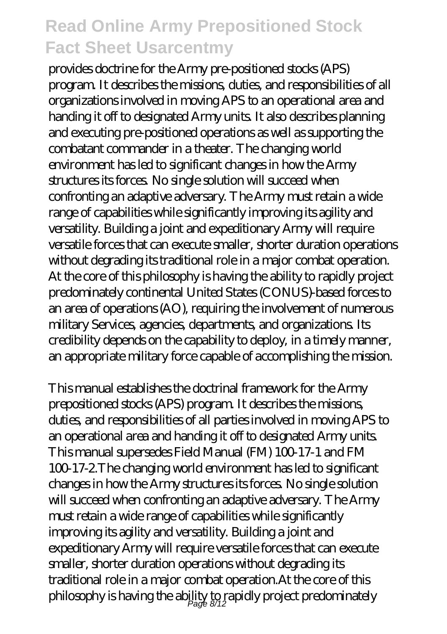provides doctrine for the Army pre-positioned stocks (APS) program. It describes the missions, duties, and responsibilities of all organizations involved in moving APS to an operational area and handing it off to designated Army units. It also describes planning and executing pre-positioned operations as well as supporting the combatant commander in a theater. The changing world environment has led to significant changes in how the Army structures its forces. No single solution will succeed when confronting an adaptive adversary. The Army must retain a wide range of capabilities while significantly improving its agility and versatility. Building a joint and expeditionary Army will require versatile forces that can execute smaller, shorter duration operations without degrading its traditional role in a major combat operation. At the core of this philosophy is having the ability to rapidly project predominately continental United States (CONUS)-based forces to an area of operations (AO), requiring the involvement of numerous military Services, agencies, departments, and organizations. Its credibility depends on the capability to deploy, in a timely manner, an appropriate military force capable of accomplishing the mission.

This manual establishes the doctrinal framework for the Army prepositioned stocks (APS) program. It describes the missions, duties, and responsibilities of all parties involved in moving APS to an operational area and handing it off to designated Army units. This manual supersedes Field Manual (FM) 100-17-1 and FM 100-17-2.The changing world environment has led to significant changes in how the Army structures its forces. No single solution will succeed when confronting an adaptive adversary. The Army must retain a wide range of capabilities while significantly improving its agility and versatility. Building a joint and expeditionary Army will require versatile forces that can execute smaller, shorter duration operations without degrading its traditional role in a major combat operation.At the core of this philosophy is having the ability to rapidly project predominately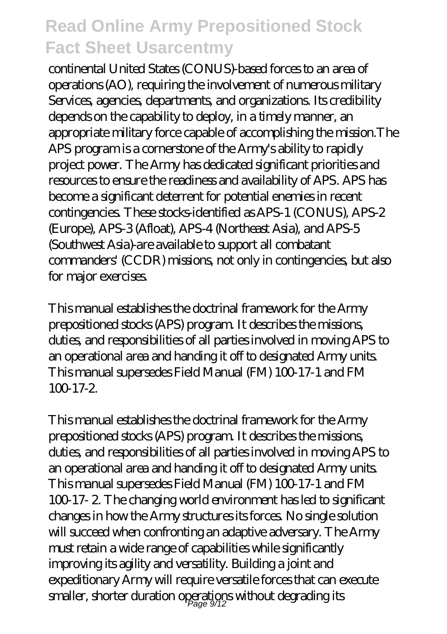continental United States (CONUS)-based forces to an area of operations (AO), requiring the involvement of numerous military Services, agencies, departments, and organizations. Its credibility depends on the capability to deploy, in a timely manner, an appropriate military force capable of accomplishing the mission.The APS program is a cornerstone of the Army's ability to rapidly project power. The Army has dedicated significant priorities and resources to ensure the readiness and availability of APS. APS has become a significant deterrent for potential enemies in recent contingencies. These stocks-identified as APS-1 (CONUS), APS-2 (Europe), APS-3 (Afloat), APS-4 (Northeast Asia), and APS-5 (Southwest Asia)-are available to support all combatant commanders' (CCDR) missions, not only in contingencies, but also for major exercises.

This manual establishes the doctrinal framework for the Army prepositioned stocks (APS) program. It describes the missions, duties, and responsibilities of all parties involved in moving APS to an operational area and handing it off to designated Army units. This manual supersedes Field Manual (FM) 100-17-1 and FM  $100-17-2.$ 

This manual establishes the doctrinal framework for the Army prepositioned stocks (APS) program. It describes the missions, duties, and responsibilities of all parties involved in moving APS to an operational area and handing it off to designated Army units. This manual supersedes Field Manual (FM) 100-17-1 and FM 100-17- 2. The changing world environment has led to significant changes in how the Army structures its forces. No single solution will succeed when confronting an adaptive adversary. The Army must retain a wide range of capabilities while significantly improving its agility and versatility. Building a joint and expeditionary Army will require versatile forces that can execute smaller, shorter duration operations without degrading its  $\frac{1}{2}$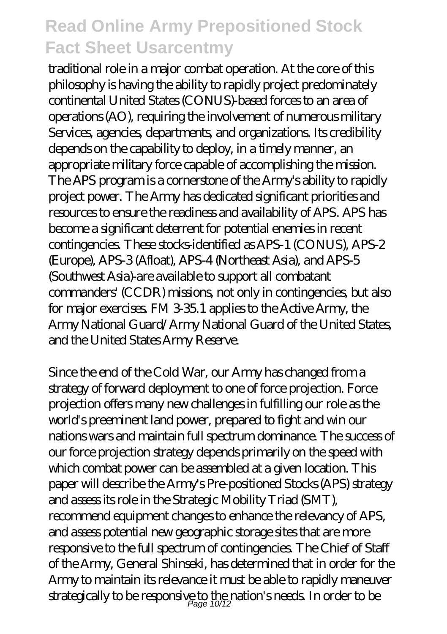traditional role in a major combat operation. At the core of this philosophy is having the ability to rapidly project predominately continental United States (CONUS)-based forces to an area of operations (AO), requiring the involvement of numerous military Services, agencies, departments, and organizations. Its credibility depends on the capability to deploy, in a timely manner, an appropriate military force capable of accomplishing the mission. The APS program is a cornerstone of the Army's ability to rapidly project power. The Army has dedicated significant priorities and resources to ensure the readiness and availability of APS. APS has become a significant deterrent for potential enemies in recent contingencies. These stocks-identified as APS-1 (CONUS), APS-2 (Europe), APS-3 (Afloat), APS-4 (Northeast Asia), and APS-5 (Southwest Asia)-are available to support all combatant commanders' (CCDR) missions, not only in contingencies, but also for major exercises. FM 3-35.1 applies to the Active Army, the Army National Guard/Army National Guard of the United States, and the United States Army Reserve.

Since the end of the Cold War, our Army has changed from a strategy of forward deployment to one of force projection. Force projection offers many new challenges in fulfilling our role as the world's preeminent land power, prepared to fight and win our nations wars and maintain full spectrum dominance. The success of our force projection strategy depends primarily on the speed with which combat power can be assembled at a given location. This paper will describe the Army's Pre-positioned Stocks (APS) strategy and assess its role in the Strategic Mobility Triad (SMT), recommend equipment changes to enhance the relevancy of APS, and assess potential new geographic storage sites that are more responsive to the full spectrum of contingencies. The Chief of Staff of the Army, General Shinseki, has determined that in order for the Army to maintain its relevance it must be able to rapidly maneuver strategically to be responsive to the nation's needs. In order to be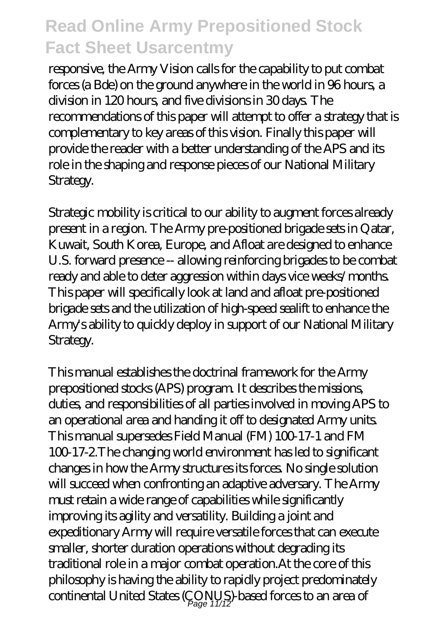responsive, the Army Vision calls for the capability to put combat forces (a Bde) on the ground anywhere in the world in 96 hours, a division in 120 hours, and five divisions in 30 days. The recommendations of this paper will attempt to offer a strategy that is complementary to key areas of this vision. Finally this paper will provide the reader with a better understanding of the APS and its role in the shaping and response pieces of our National Military Strategy.

Strategic mobility is critical to our ability to augment forces already present in a region. The Army pre-positioned brigade sets in Qatar, Kuwait, South Korea, Europe, and Afloat are designed to enhance U.S. forward presence -- allowing reinforcing brigades to be combat ready and able to deter aggression within days vice weeks/months. This paper will specifically look at land and afloat pre-positioned brigade sets and the utilization of high-speed sealift to enhance the Army's ability to quickly deploy in support of our National Military Strategy.

This manual establishes the doctrinal framework for the Army prepositioned stocks (APS) program. It describes the missions, duties, and responsibilities of all parties involved in moving APS to an operational area and handing it off to designated Army units. This manual supersedes Field Manual (FM) 100-17-1 and FM 100-17-2.The changing world environment has led to significant changes in how the Army structures its forces. No single solution will succeed when confronting an adaptive adversary. The Army must retain a wide range of capabilities while significantly improving its agility and versatility. Building a joint and expeditionary Army will require versatile forces that can execute smaller, shorter duration operations without degrading its traditional role in a major combat operation.At the core of this philosophy is having the ability to rapidly project predominately continental United States (CONUS)-based forces to an area of Page 11/12